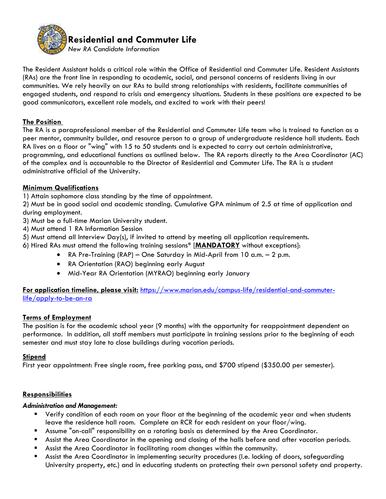

The Resident Assistant holds a critical role within the Office of Residential and Commuter Life. Resident Assistants (RAs) are the front line in responding to academic, social, and personal concerns of residents living in our communities. We rely heavily on our RAs to build strong relationships with residents, facilitate communities of engaged students, and respond to crisis and emergency situations. Students in these positions are expected to be good communicators, excellent role models, and excited to work with their peers!

## **The Position**

The RA is a paraprofessional member of the Residential and Commuter Life team who is trained to function as a peer mentor, community builder, and resource person to a group of undergraduate residence hall students. Each RA lives on a floor or "wing" with 15 to 50 students and is expected to carry out certain administrative, programming, and educational functions as outlined below. The RA reports directly to the Area Coordinator (AC) of the complex and is accountable to the Director of Residential and Commuter Life. The RA is a student administrative official of the University.

# **Minimum Qualifications**

1) Attain sophomore class standing by the time of appointment.

2) Must be in good social and academic standing. Cumulative GPA minimum of 2.5 at time of application and during employment.

- 3) Must be a full-time Marian University student.
- 4) Must attend 1 RA Information Session
- 5) Must attend all Interview Day(s), if invited to attend by meeting all application requirements.
- 6) Hired RAs must attend the following training sessions\* [**MANDATORY** without exceptions]:
	- RA Pre-Training (RAP) One Saturday in Mid-April from 10 a.m. 2 p.m.
	- RA Orientation (RAO) beginning early August
	- Mid-Year RA Orientation (MYRAO) beginning early January

**For application timeline, please visit:** [https://www.marian.edu/campus-life/residential-and-commuter](https://www.marian.edu/campus-life/residential-and-commuter-life/apply-to-be-an-ra)[life/apply-to-be-an-ra](https://www.marian.edu/campus-life/residential-and-commuter-life/apply-to-be-an-ra)

## **Terms of Employment**

The position is for the academic school year (9 months) with the opportunity for reappointment dependent on performance. In addition, all staff members must participate in training sessions prior to the beginning of each semester and must stay late to close buildings during vacation periods.

## **Stipend**

First year appointment: Free single room, free parking pass, and \$700 stipend (\$350.00 per semester).

## **Responsibilities**

## *Administration and Management:*

- Verify condition of each room on your floor at the beginning of the academic year and when students leave the residence hall room. Complete an RCR for each resident on your floor/wing.
- Assume "on-call" responsibility on a rotating basis as determined by the Area Coordinator.
- Assist the Area Coordinator in the opening and closing of the halls before and after vacation periods.
- Assist the Area Coordinator in facilitating room changes within the community.
- Assist the Area Coordinator in implementing security procedures (I.e. locking of doors, safeguarding University property, etc.) and in educating students on protecting their own personal safety and property.